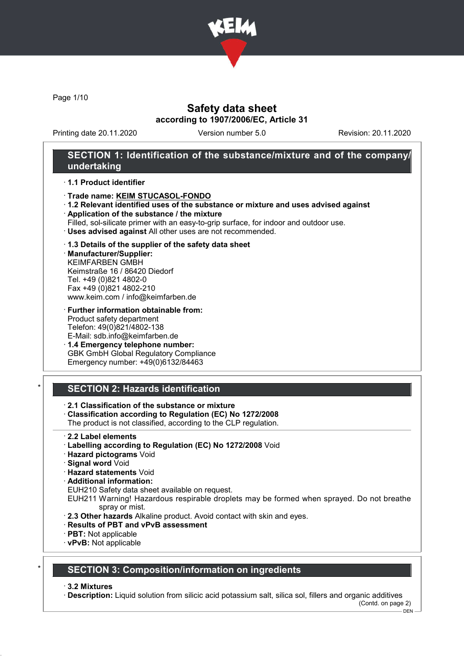

Page 1/10

## Safety data sheet according to 1907/2006/EC, Article 31

Printing date 20.11.2020 Version number 5.0 Revision: 20.11.2020

## SECTION 1: Identification of the substance/mixture and of the company/ undertaking

#### · 1.1 Product identifier

- · Trade name: KEIM STUCASOL-FONDO
- · 1.2 Relevant identified uses of the substance or mixture and uses advised against
- · Application of the substance / the mixture
- Filled, sol-silicate primer with an easy-to-grip surface, for indoor and outdoor use.
- · Uses advised against All other uses are not recommended.

### · 1.3 Details of the supplier of the safety data sheet

· Manufacturer/Supplier: KEIMFARBEN GMBH Keimstraße 16 / 86420 Diedorf Tel. +49 (0)821 4802-0 Fax +49 (0)821 4802-210 www.keim.com / info@keimfarben.de

· Further information obtainable from: Product safety department Telefon: 49(0)821/4802-138 E-Mail: sdb.info@keimfarben.de

· 1.4 Emergency telephone number: GBK GmbH Global Regulatory Compliance Emergency number: +49(0)6132/84463

# **SECTION 2: Hazards identification**

- · 2.1 Classification of the substance or mixture
- · Classification according to Regulation (EC) No 1272/2008
- The product is not classified, according to the CLP regulation.
- · 2.2 Label elements
- · Labelling according to Regulation (EC) No 1272/2008 Void
- · Hazard pictograms Void
- · Signal word Void
- · Hazard statements Void
- · Additional information:
- EUH210 Safety data sheet available on request.
- EUH211 Warning! Hazardous respirable droplets may be formed when sprayed. Do not breathe spray or mist.
- · 2.3 Other hazards Alkaline product. Avoid contact with skin and eyes.
- · Results of PBT and vPvB assessment
- · PBT: Not applicable
- · vPvB: Not applicable

### SECTION 3: Composition/information on ingredients

· 3.2 Mixtures

· Description: Liquid solution from silicic acid potassium salt, silica sol, fillers and organic additives (Contd. on page 2)

DEN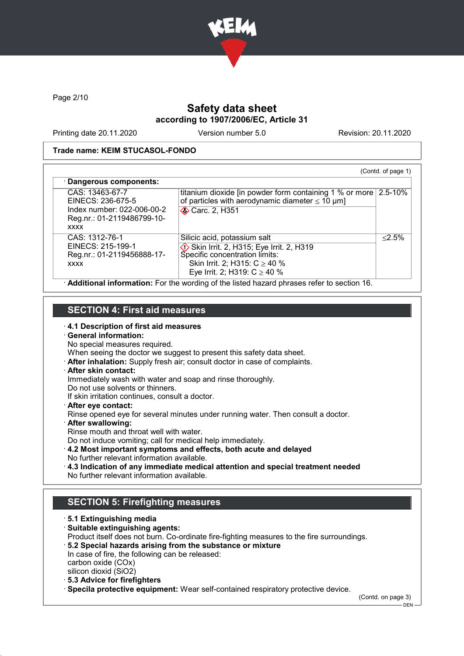

Page 2/10

# Safety data sheet according to 1907/2006/EC, Article 31

Printing date 20.11.2020 Version number 5.0 Revision: 20.11.2020

### Trade name: KEIM STUCASOL-FONDO

| CAS: 13463-67-7<br>EINECS: 236-675-5                                             | titanium dioxide [in powder form containing 1 % or more 2.5-10%<br>of particles with aerodynamic diameter $\leq 10 \mu m$ ]                                                         |           |
|----------------------------------------------------------------------------------|-------------------------------------------------------------------------------------------------------------------------------------------------------------------------------------|-----------|
| Index number: 022-006-00-2<br>Reg.nr.: 01-2119486799-10-<br><b>XXXX</b>          | <b>◆ Carc. 2, H351</b>                                                                                                                                                              |           |
| CAS: 1312-76-1<br>EINECS: 215-199-1<br>Reg.nr.: 01-2119456888-17-<br><b>XXXX</b> | Silicic acid, potassium salt<br>Skin Irrit. 2, H315; Eye Irrit. 2, H319<br>Specific concentration limits:<br>Skin Irrit. 2; H315: $C \ge 40$ %<br>Eye Irrit. 2; H319: $C \ge 40 \%$ | $< 2.5\%$ |

## SECTION 4: First aid measures

· 4.1 Description of first aid measures

# · General information:

No special measures required.

When seeing the doctor we suggest to present this safety data sheet.

· After inhalation: Supply fresh air; consult doctor in case of complaints.

## · After skin contact:

Immediately wash with water and soap and rinse thoroughly.

Do not use solvents or thinners.

If skin irritation continues, consult a doctor.

· After eye contact:

Rinse opened eye for several minutes under running water. Then consult a doctor.

- · After swallowing:
- Rinse mouth and throat well with water.

Do not induce vomiting; call for medical help immediately.

- · 4.2 Most important symptoms and effects, both acute and delayed No further relevant information available.
- · 4.3 Indication of any immediate medical attention and special treatment needed No further relevant information available.

# SECTION 5: Firefighting measures

- · 5.1 Extinguishing media · Suitable extinguishing agents: Product itself does not burn. Co-ordinate fire-fighting measures to the fire surroundings. · 5.2 Special hazards arising from the substance or mixture In case of fire, the following can be released: carbon oxide (COx) silicon dioxid (SiO2) · 5.3 Advice for firefighters
	- · Specila protective equipment: Wear self-contained respiratory protective device.

(Contd. on page 3)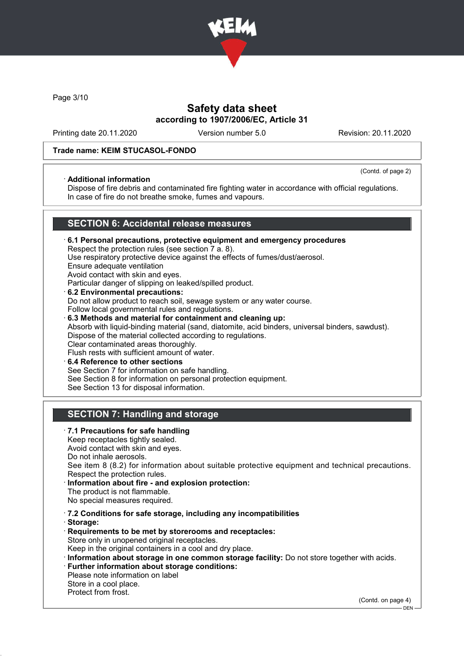

Page 3/10

## Safety data sheet according to 1907/2006/EC, Article 31

Printing date 20.11.2020 Version number 5.0 Revision: 20.11.2020

### Trade name: KEIM STUCASOL-FONDO

#### · Additional information

(Contd. of page 2)

Dispose of fire debris and contaminated fire fighting water in accordance with official regulations. In case of fire do not breathe smoke, fumes and vapours.

### SECTION 6: Accidental release measures

- · 6.1 Personal precautions, protective equipment and emergency procedures Respect the protection rules (see section 7 a. 8). Use respiratory protective device against the effects of fumes/dust/aerosol. Ensure adequate ventilation Avoid contact with skin and eyes. Particular danger of slipping on leaked/spilled product. · 6.2 Environmental precautions: Do not allow product to reach soil, sewage system or any water course. Follow local governmental rules and regulations. · 6.3 Methods and material for containment and cleaning up: Absorb with liquid-binding material (sand, diatomite, acid binders, universal binders, sawdust). Dispose of the material collected according to regulations. Clear contaminated areas thoroughly. Flush rests with sufficient amount of water.
- 6.4 Reference to other sections See Section 7 for information on safe handling. See Section 8 for information on personal protection equipment. See Section 13 for disposal information.

# SECTION 7: Handling and storage

· 7.1 Precautions for safe handling Keep receptacles tightly sealed. Avoid contact with skin and eyes. Do not inhale aerosols. See item 8 (8.2) for information about suitable protective equipment and technical precautions. Respect the protection rules. Information about fire - and explosion protection: The product is not flammable. No special measures required. · 7.2 Conditions for safe storage, including any incompatibilities · Storage: · Requirements to be met by storerooms and receptacles: Store only in unopened original receptacles. Keep in the original containers in a cool and dry place. · Information about storage in one common storage facility: Do not store together with acids. · Further information about storage conditions: Please note information on label Store in a cool place. Protect from frost.

(Contd. on page 4)

<sup>–</sup> DEN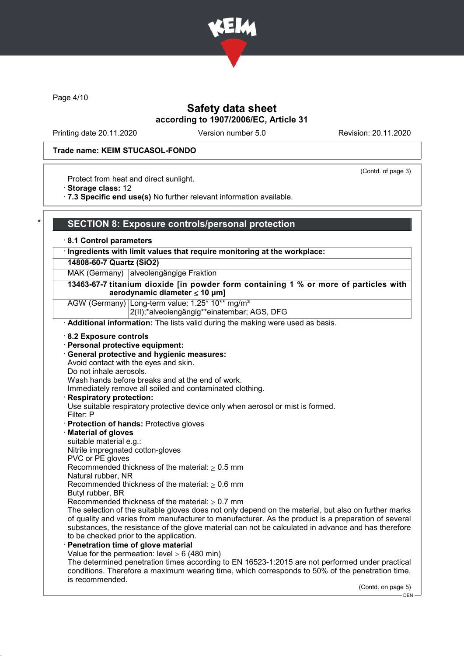

Page 4/10

## Safety data sheet according to 1907/2006/EC, Article 31

Printing date 20.11.2020 Version number 5.0 Revision: 20.11.2020

(Contd. of page 3)

### Trade name: KEIM STUCASOL-FONDO

Protect from heat and direct sunlight.

· Storage class: 12

· 7.3 Specific end use(s) No further relevant information available.

### SECTION 8: Exposure controls/personal protection

· 8.1 Control parameters

### · Ingredients with limit values that require monitoring at the workplace:

#### 14808-60-7 Quartz (SiO2)

MAK (Germany) alveolengängige Fraktion

13463-67-7 titanium dioxide [in powder form containing 1 % or more of particles with aerodynamic diameter ≤ 10 μm]

AGW (Germany) Long-term value: 1.25\* 10\*\* mg/m<sup>3</sup>

2(II);\*alveolengängig\*\*einatembar; AGS, DFG

· Additional information: The lists valid during the making were used as basis.

- · 8.2 Exposure controls
- · Personal protective equipment:
- · General protective and hygienic measures:

Avoid contact with the eyes and skin.

Do not inhale aerosols.

Wash hands before breaks and at the end of work.

Immediately remove all soiled and contaminated clothing.

Respiratory protection:

Use suitable respiratory protective device only when aerosol or mist is formed.

- Filter: P
- · Protection of hands: Protective gloves
- · Material of gloves
- suitable material e.g.:

Nitrile impregnated cotton-gloves

PVC or PE gloves

Recommended thickness of the material:  $\geq 0.5$  mm

Natural rubber, NR

Recommended thickness of the material:  $> 0.6$  mm

- Butyl rubber, BR
- Recommended thickness of the material:  $\geq 0.7$  mm

The selection of the suitable gloves does not only depend on the material, but also on further marks of quality and varies from manufacturer to manufacturer. As the product is a preparation of several substances, the resistance of the glove material can not be calculated in advance and has therefore to be checked prior to the application.

Penetration time of glove material Value for the permeation: level  $> 6$  (480 min)

The determined penetration times according to EN 16523-1:2015 are not performed under practical conditions. Therefore a maximum wearing time, which corresponds to 50% of the penetration time, is recommended.

(Contd. on page 5)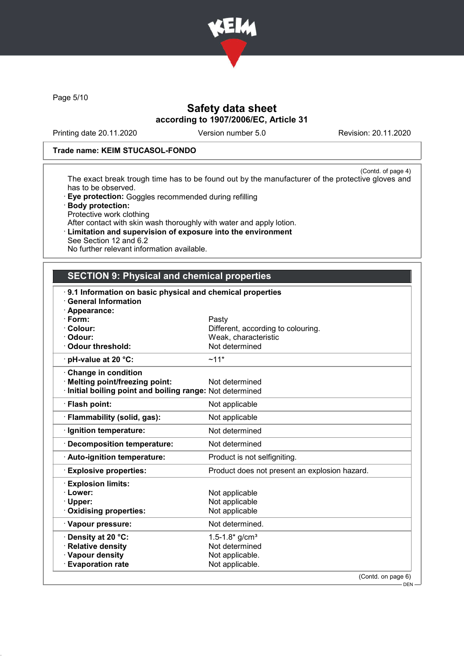

Page 5/10

# Safety data sheet according to 1907/2006/EC, Article 31

Printing date 20.11.2020 Version number 5.0 Revision: 20.11.2020

### Trade name: KEIM STUCASOL-FONDO

(Contd. of page 4) The exact break trough time has to be found out by the manufacturer of the protective gloves and has to be observed.

- · Eye protection: Goggles recommended during refilling
- · Body protection: Protective work clothing
- After contact with skin wash thoroughly with water and apply lotion.
- · Limitation and supervision of exposure into the environment See Section 12 and 6.2
- No further relevant information available.

## SECTION 9: Physical and chemical properties

| 9.1 Information on basic physical and chemical properties<br><b>General Information</b> |                                               |
|-----------------------------------------------------------------------------------------|-----------------------------------------------|
| · Appearance:                                                                           |                                               |
| · Form:                                                                                 | Pasty                                         |
| · Colour:                                                                               | Different, according to colouring.            |
| · Odour:                                                                                | Weak, characteristic                          |
| <b>Odour threshold:</b>                                                                 | Not determined                                |
| $\cdot$ pH-value at 20 °C:                                                              | $~11*$                                        |
| Change in condition                                                                     |                                               |
| <b>Melting point/freezing point:</b>                                                    | Not determined                                |
| Initial boiling point and boiling range: Not determined                                 |                                               |
| · Flash point:                                                                          | Not applicable                                |
| · Flammability (solid, gas):                                                            | Not applicable                                |
| · Ignition temperature:                                                                 | Not determined                                |
| <b>Decomposition temperature:</b>                                                       | Not determined                                |
| · Auto-ignition temperature:                                                            | Product is not selfigniting.                  |
| <b>Explosive properties:</b>                                                            | Product does not present an explosion hazard. |
| <b>Explosion limits:</b>                                                                |                                               |
| · Lower:                                                                                | Not applicable                                |
| · Upper:                                                                                | Not applicable                                |
| Oxidising properties:                                                                   | Not applicable                                |
| · Vapour pressure:                                                                      | Not determined.                               |
| · Density at 20 °C:                                                                     | 1.5-1.8* $g/cm3$                              |
| · Relative density                                                                      | Not determined                                |
| · Vapour density                                                                        | Not applicable.                               |
| <b>Evaporation rate</b>                                                                 | Not applicable.                               |
|                                                                                         | (Contd. on page 6)                            |
|                                                                                         | DEN -                                         |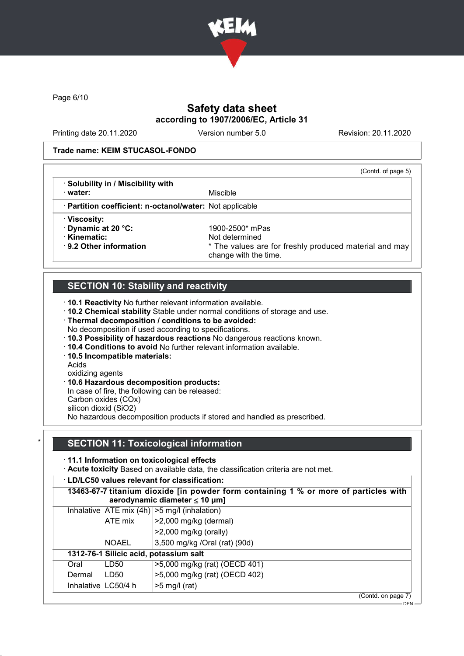

Page 6/10

# Safety data sheet according to 1907/2006/EC, Article 31

Printing date 20.11.2020 Version number 5.0 Revision: 20.11.2020

### Trade name: KEIM STUCASOL-FONDO

|                                                          | (Contd. of page 5)                                                              |
|----------------------------------------------------------|---------------------------------------------------------------------------------|
| · Solubility in / Miscibility with                       |                                                                                 |
| · water:                                                 | Miscible                                                                        |
| · Partition coefficient: n-octanol/water: Not applicable |                                                                                 |
| · Viscosity:                                             |                                                                                 |
| Dynamic at 20 °C:                                        | 1900-2500* mPas                                                                 |
| · Kinematic:                                             | Not determined                                                                  |
| $\cdot$ 9.2 Other information                            | * The values are for freshly produced material and may<br>change with the time. |

# SECTION 10: Stability and reactivity

· 10.1 Reactivity No further relevant information available.

· 10.2 Chemical stability Stable under normal conditions of storage and use.

- · Thermal decomposition / conditions to be avoided:
- No decomposition if used according to specifications.
- · 10.3 Possibility of hazardous reactions No dangerous reactions known.
- · 10.4 Conditions to avoid No further relevant information available.
- · 10.5 Incompatible materials:

Acids

oxidizing agents

· 10.6 Hazardous decomposition products:

In case of fire, the following can be released:

Carbon oxides (COx)

silicon dioxid (SiO2)

No hazardous decomposition products if stored and handled as prescribed.

## **SECTION 11: Toxicological information**

· 11.1 Information on toxicological effects

· Acute toxicity Based on available data, the classification criteria are not met.

### · LD/LC50 values relevant for classification:

|            |              | 13463-67-7 titanium dioxide [in powder form containing 1 % or more of particles with<br>aerodynamic diameter $\leq 10$ µm] |
|------------|--------------|----------------------------------------------------------------------------------------------------------------------------|
|            |              | Inhalative $ ATE \text{ mix } (4h)  > 5 \text{ mg/l } (inhalation)$                                                        |
|            | ATE mix      | $ $ >2,000 mg/kg (dermal)                                                                                                  |
|            |              | $>2,000$ mg/kg (orally)                                                                                                    |
|            | <b>NOAEL</b> | 3,500 mg/kg /Oral (rat) (90d)                                                                                              |
|            |              | 1312-76-1 Silicic acid, potassium salt                                                                                     |
| Oral       | LD50         | >5,000 mg/kg (rat) (OECD 401)                                                                                              |
| Dermal     | LD50         | >5,000 mg/kg (rat) (OECD 402)                                                                                              |
| Inhalative | LC50/4 h     | $>5$ mg/l (rat)                                                                                                            |
|            |              | (Contd. on page 7)                                                                                                         |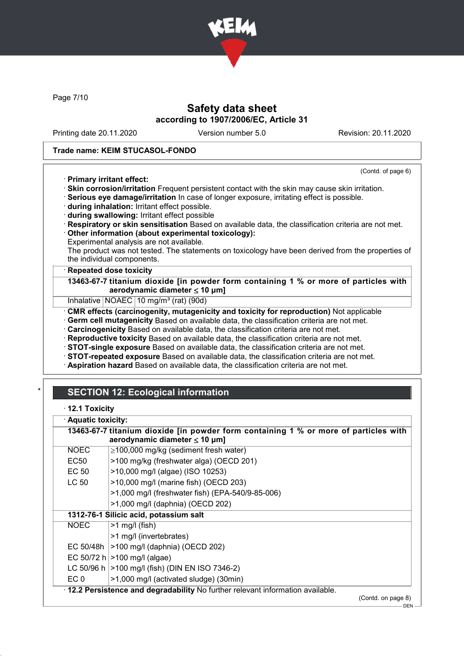

Page 7/10

## Safety data sheet according to 1907/2006/EC, Article 31

Printing date 20.11.2020 Version number 5.0 Revision: 20.11.2020

(Contd. of page 6)

### Trade name: KEIM STUCASOL-FONDO

### · Primary irritant effect:

· Skin corrosion/irritation Frequent persistent contact with the skin may cause skin irritation.

· Serious eye damage/irritation In case of longer exposure, irritating effect is possible.

- · during inhalation: Irritant effect possible.
- · during swallowing: Irritant effect possible
- · Respiratory or skin sensitisation Based on available data, the classification criteria are not met.
- · Other information (about experimental toxicology):

Experimental analysis are not available.

The product was not tested. The statements on toxicology have been derived from the properties of the individual components.

### **Repeated dose toxicity**

13463-67-7 titanium dioxide [in powder form containing 1 % or more of particles with aerodynamic diameter  $\leq 10 \mu m$ ]

Inhalative NOAEC 10 mg/m<sup>3</sup> (rat) (90d)

· CMR effects (carcinogenity, mutagenicity and toxicity for reproduction) Not applicable

· Germ cell mutagenicity Based on available data, the classification criteria are not met.

· Carcinogenicity Based on available data, the classification criteria are not met.

- · Reproductive toxicity Based on available data, the classification criteria are not met.
- · STOT-single exposure Based on available data, the classification criteria are not met.
- · STOT-repeated exposure Based on available data, the classification criteria are not met.

· Aspiration hazard Based on available data, the classification criteria are not met.

# **SECTION 12: Ecological information**

· 12.1 Toxicity

· Aquatic toxicity:

|             | 13463-67-7 titanium dioxide [in powder form containing 1 % or more of particles with<br>aerodynamic diameter $\leq 10$ µm] |                    |
|-------------|----------------------------------------------------------------------------------------------------------------------------|--------------------|
| <b>NOEC</b> | $\geq$ 100,000 mg/kg (sediment fresh water)                                                                                |                    |
| EC50        | >100 mg/kg (freshwater alga) (OECD 201)                                                                                    |                    |
| EC 50       | >10,000 mg/l (algae) (ISO 10253)                                                                                           |                    |
| LC 50       | >10,000 mg/l (marine fish) (OECD 203)                                                                                      |                    |
|             | >1,000 mg/l (freshwater fish) (EPA-540/9-85-006)                                                                           |                    |
|             | >1,000 mg/l (daphnia) (OECD 202)                                                                                           |                    |
|             | 1312-76-1 Silicic acid, potassium salt                                                                                     |                    |
| NOEC        | $>1$ mg/l (fish)                                                                                                           |                    |
|             | >1 mg/l (invertebrates)                                                                                                    |                    |
| EC 50/48h   | >100 mg/l (daphnia) (OECD 202)                                                                                             |                    |
|             | EC 50/72 h $>100$ mg/l (algae)                                                                                             |                    |
|             | LC 50/96 h   > 100 mg/l (fish) (DIN EN ISO 7346-2)                                                                         |                    |
| EC 0        | >1,000 mg/l (activated sludge) (30min)                                                                                     |                    |
|             | . 12.2 Persistence and degradability No further relevant information available.                                            |                    |
|             |                                                                                                                            | (Contd. on page 8) |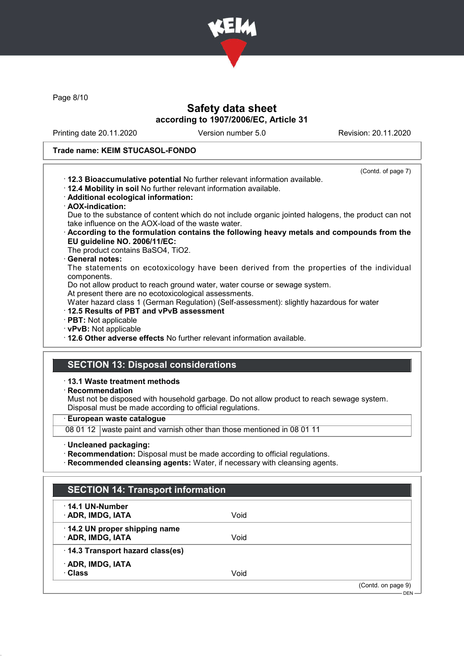

Page 8/10

## Safety data sheet according to 1907/2006/EC, Article 31

Printing date 20.11.2020 Version number 5.0 Revision: 20.11.2020

### Trade name: KEIM STUCASOL-FONDO

(Contd. of page 7)

- · 12.3 Bioaccumulative potential No further relevant information available.
- · 12.4 Mobility in soil No further relevant information available.
- · Additional ecological information:
- · AOX-indication:
- Due to the substance of content which do not include organic jointed halogens, the product can not take influence on the AOX-load of the waste water.
- · According to the formulation contains the following heavy metals and compounds from the EU guideline NO. 2006/11/EC:
- The product contains BaSO4, TiO2.

### General notes:

The statements on ecotoxicology have been derived from the properties of the individual components.

Do not allow product to reach ground water, water course or sewage system.

At present there are no ecotoxicological assessments.

Water hazard class 1 (German Regulation) (Self-assessment): slightly hazardous for water

### · 12.5 Results of PBT and vPvB assessment

- · PBT: Not applicable
- · vPvB: Not applicable

· 12.6 Other adverse effects No further relevant information available.

### SECTION 13: Disposal considerations

#### · 13.1 Waste treatment methods

· Recommendation

Must not be disposed with household garbage. Do not allow product to reach sewage system. Disposal must be made according to official regulations.

#### · European waste catalogue

08 01 12 waste paint and varnish other than those mentioned in 08 01 11

#### · Uncleaned packaging:

- · Recommendation: Disposal must be made according to official regulations.
- · Recommended cleansing agents: Water, if necessary with cleansing agents.

| $\cdot$ 14.1 UN-Number            |      |  |
|-----------------------------------|------|--|
| · ADR, IMDG, IATA                 | Void |  |
| 14.2 UN proper shipping name      |      |  |
| · ADR, IMDG, IATA                 | Void |  |
| · 14.3 Transport hazard class(es) |      |  |
| · ADR, IMDG, IATA                 |      |  |
| · Class                           | Void |  |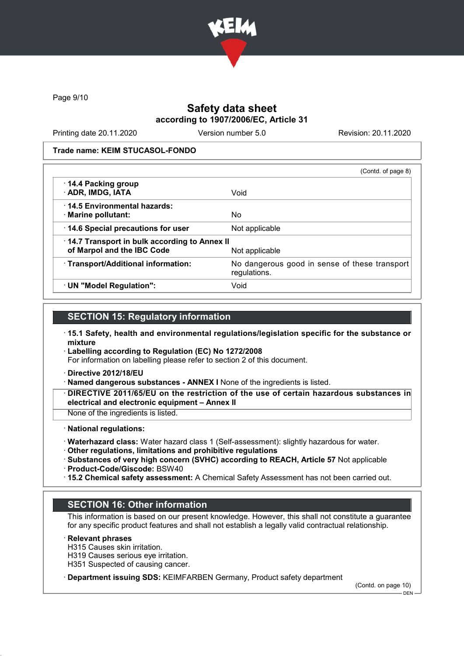

Page 9/10

# Safety data sheet according to 1907/2006/EC, Article 31

Printing date 20.11.2020 Version number 5.0 Revision: 20.11.2020

#### Trade name: KEIM STUCASOL-FONDO

|                                                                            | (Contd. of page 8)                                            |
|----------------------------------------------------------------------------|---------------------------------------------------------------|
| 14.4 Packing group<br>· ADR, IMDG, IATA                                    | Void                                                          |
| 14.5 Environmental hazards:<br>· Marine pollutant:                         | No                                                            |
| 14.6 Special precautions for user                                          | Not applicable                                                |
| 14.7 Transport in bulk according to Annex II<br>of Marpol and the IBC Code | Not applicable                                                |
| · Transport/Additional information:                                        | No dangerous good in sense of these transport<br>regulations. |
| · UN "Model Regulation":                                                   | Void                                                          |

## SECTION 15: Regulatory information

- · 15.1 Safety, health and environmental regulations/legislation specific for the substance or mixture
- · Labelling according to Regulation (EC) No 1272/2008

For information on labelling please refer to section 2 of this document.

- · Directive 2012/18/EU
- · Named dangerous substances ANNEX I None of the ingredients is listed.
- · DIRECTIVE 2011/65/EU on the restriction of the use of certain hazardous substances in electrical and electronic equipment – Annex II

None of the ingredients is listed.

#### · National regulations:

- · Waterhazard class: Water hazard class 1 (Self-assessment): slightly hazardous for water.
- · Other regulations, limitations and prohibitive regulations
- · Substances of very high concern (SVHC) according to REACH, Article 57 Not applicable · Product-Code/Giscode: BSW40
- · 15.2 Chemical safety assessment: A Chemical Safety Assessment has not been carried out.

### SECTION 16: Other information

This information is based on our present knowledge. However, this shall not constitute a guarantee for any specific product features and shall not establish a legally valid contractual relationship.

**Relevant phrases** 

- H315 Causes skin irritation.
- H319 Causes serious eye irritation.

H351 Suspected of causing cancer.

· Department issuing SDS: KEIMFARBEN Germany, Product safety department

(Contd. on page 10)